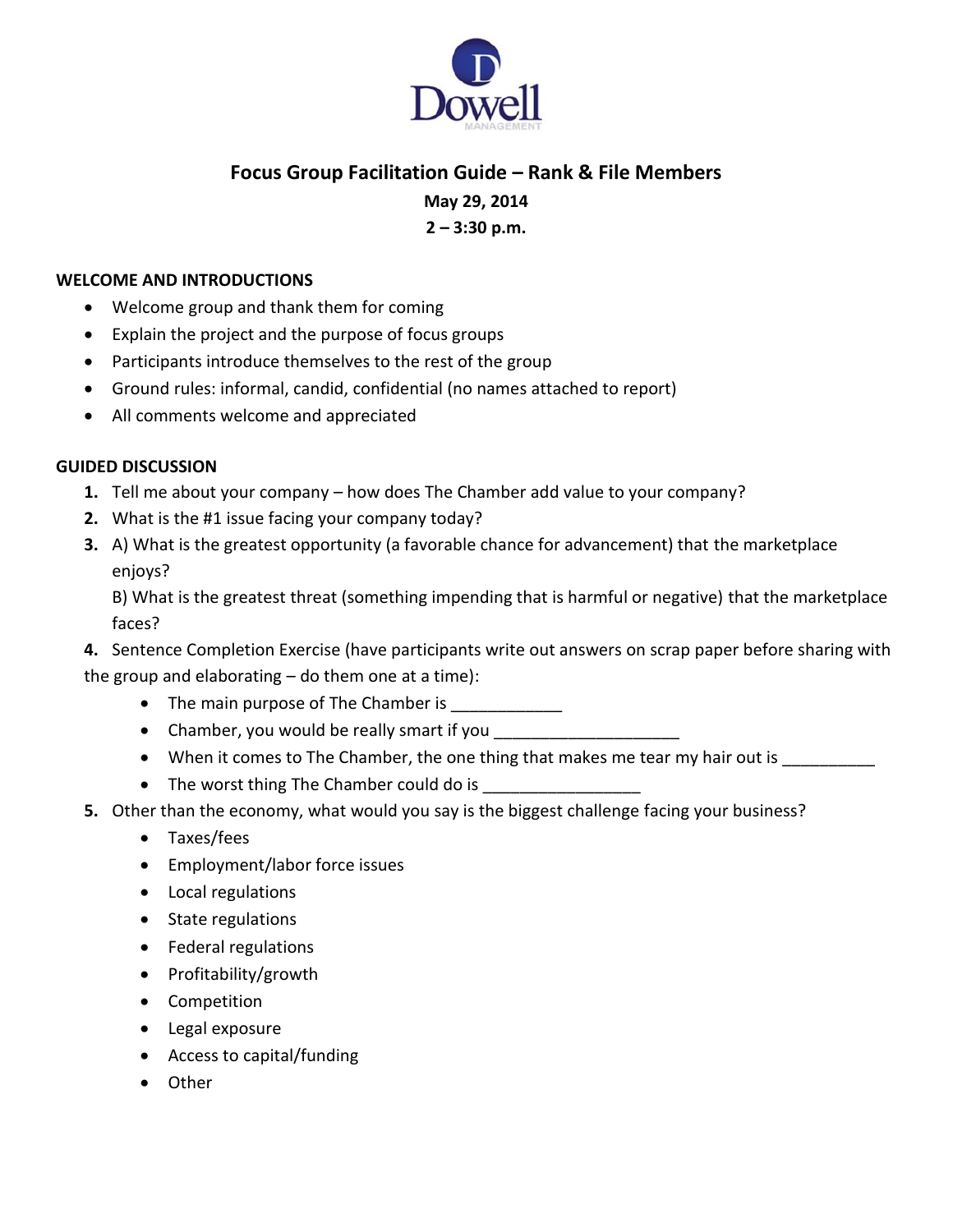

## **Focus Group Facilitation Guide – Rank & File Members**

**May 29, 2014**

**2 – 3:30 p.m.**

## **WELCOME AND INTRODUCTIONS**

- Welcome group and thank them for coming
- Explain the project and the purpose of focus groups
- Participants introduce themselves to the rest of the group
- Ground rules: informal, candid, confidential (no names attached to report)
- All comments welcome and appreciated

## **GUIDED DISCUSSION**

- **1.** Tell me about your company how does The Chamber add value to your company?
- **2.** What is the #1 issue facing your company today?
- **3.** A) What is the greatest opportunity (a favorable chance for advancement) that the marketplace enjoys?

B) What is the greatest threat (something impending that is harmful or negative) that the marketplace faces?

**4.** Sentence Completion Exercise (have participants write out answers on scrap paper before sharing with the group and elaborating  $-$  do them one at a time):

- The main purpose of The Chamber is
- Chamber, you would be really smart if you
- When it comes to The Chamber, the one thing that makes me tear my hair out is
- The worst thing The Chamber could do is \_\_\_\_\_\_\_\_\_\_\_\_\_\_\_\_\_
- **5.** Other than the economy, what would you say is the biggest challenge facing your business?
	- Taxes/fees
	- Employment/labor force issues
	- Local regulations
	- State regulations
	- Federal regulations
	- Profitability/growth
	- Competition
	- Legal exposure
	- Access to capital/funding
	- Other